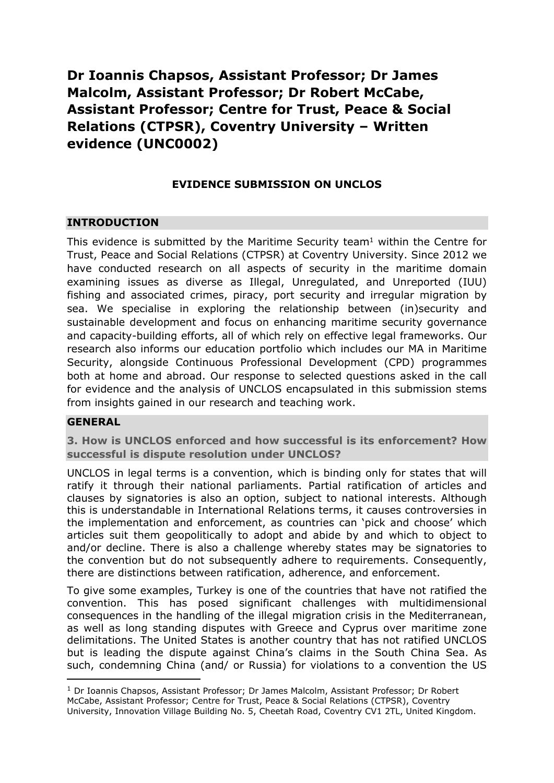# **Dr Ioannis Chapsos, Assistant Professor; Dr James Malcolm, Assistant Professor; Dr Robert McCabe, Assistant Professor; Centre for Trust, Peace & Social Relations (CTPSR), Coventry University – Written evidence (UNC0002)**

## **EVIDENCE SUBMISSION ON UNCLOS**

## **INTRODUCTION**

This evidence is submitted by the Maritime Security team $1$  within the Centre for Trust, Peace and Social Relations (CTPSR) at Coventry University. Since 2012 we have conducted research on all aspects of security in the maritime domain examining issues as diverse as Illegal, Unregulated, and Unreported (IUU) fishing and associated crimes, piracy, port security and irregular migration by sea. We specialise in exploring the relationship between (in)security and sustainable development and focus on enhancing maritime security governance and capacity-building efforts, all of which rely on effective legal frameworks. Our research also informs our education portfolio which includes our MA in Maritime Security, alongside Continuous Professional Development (CPD) programmes both at home and abroad. Our response to selected questions asked in the call for evidence and the analysis of UNCLOS encapsulated in this submission stems from insights gained in our research and teaching work.

#### **GENERAL**

**3. How is UNCLOS enforced and how successful is its enforcement? How successful is dispute resolution under UNCLOS?**

UNCLOS in legal terms is a convention, which is binding only for states that will ratify it through their national parliaments. Partial ratification of articles and clauses by signatories is also an option, subject to national interests. Although this is understandable in International Relations terms, it causes controversies in the implementation and enforcement, as countries can 'pick and choose' which articles suit them geopolitically to adopt and abide by and which to object to and/or decline. There is also a challenge whereby states may be signatories to the convention but do not subsequently adhere to requirements. Consequently, there are distinctions between ratification, adherence, and enforcement.

To give some examples, Turkey is one of the countries that have not ratified the convention. This has posed significant challenges with multidimensional consequences in the handling of the illegal migration crisis in the Mediterranean, as well as long standing disputes with Greece and Cyprus over maritime zone delimitations. The United States is another country that has not ratified UNCLOS but is leading the dispute against China's claims in the South China Sea. As such, condemning China (and/ or Russia) for violations to a convention the US

<sup>&</sup>lt;sup>1</sup> Dr Ioannis Chapsos, Assistant Professor; Dr James Malcolm, Assistant Professor; Dr Robert McCabe, Assistant Professor; Centre for Trust, Peace & Social Relations (CTPSR), Coventry University, Innovation Village Building No. 5, Cheetah Road, Coventry CV1 2TL, United Kingdom.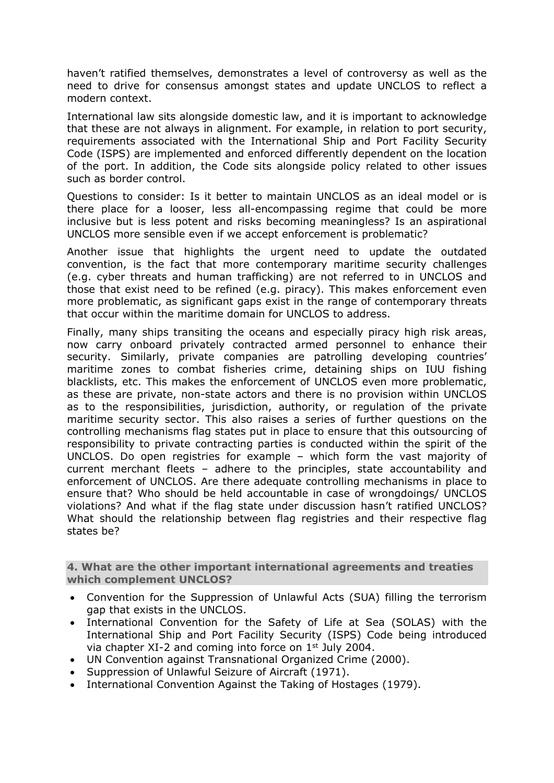haven't ratified themselves, demonstrates a level of controversy as well as the need to drive for consensus amongst states and update UNCLOS to reflect a modern context.

International law sits alongside domestic law, and it is important to acknowledge that these are not always in alignment. For example, in relation to port security, requirements associated with the International Ship and Port Facility Security Code (ISPS) are implemented and enforced differently dependent on the location of the port. In addition, the Code sits alongside policy related to other issues such as border control.

Questions to consider: Is it better to maintain UNCLOS as an ideal model or is there place for a looser, less all-encompassing regime that could be more inclusive but is less potent and risks becoming meaningless? Is an aspirational UNCLOS more sensible even if we accept enforcement is problematic?

Another issue that highlights the urgent need to update the outdated convention, is the fact that more contemporary maritime security challenges (e.g. cyber threats and human trafficking) are not referred to in UNCLOS and those that exist need to be refined (e.g. piracy). This makes enforcement even more problematic, as significant gaps exist in the range of contemporary threats that occur within the maritime domain for UNCLOS to address.

Finally, many ships transiting the oceans and especially piracy high risk areas, now carry onboard privately contracted armed personnel to enhance their security. Similarly, private companies are patrolling developing countries' maritime zones to combat fisheries crime, detaining ships on IUU fishing blacklists, etc. This makes the enforcement of UNCLOS even more problematic, as these are private, non-state actors and there is no provision within UNCLOS as to the responsibilities, jurisdiction, authority, or regulation of the private maritime security sector. This also raises a series of further questions on the controlling mechanisms flag states put in place to ensure that this outsourcing of responsibility to private contracting parties is conducted within the spirit of the UNCLOS. Do open registries for example – which form the vast majority of current merchant fleets – adhere to the principles, state accountability and enforcement of UNCLOS. Are there adequate controlling mechanisms in place to ensure that? Who should be held accountable in case of wrongdoings/ UNCLOS violations? And what if the flag state under discussion hasn't ratified UNCLOS? What should the relationship between flag registries and their respective flag states be?

**4. What are the other important international agreements and treaties which complement UNCLOS?**

- Convention for the Suppression of Unlawful Acts (SUA) filling the terrorism gap that exists in the UNCLOS.
- International Convention for the Safety of Life at Sea (SOLAS) with the International Ship and Port Facility Security (ISPS) Code being introduced via chapter XI-2 and coming into force on 1st July 2004.
- UN Convention against Transnational Organized Crime (2000).
- Suppression of Unlawful Seizure of Aircraft (1971).
- International Convention Against the Taking of Hostages (1979).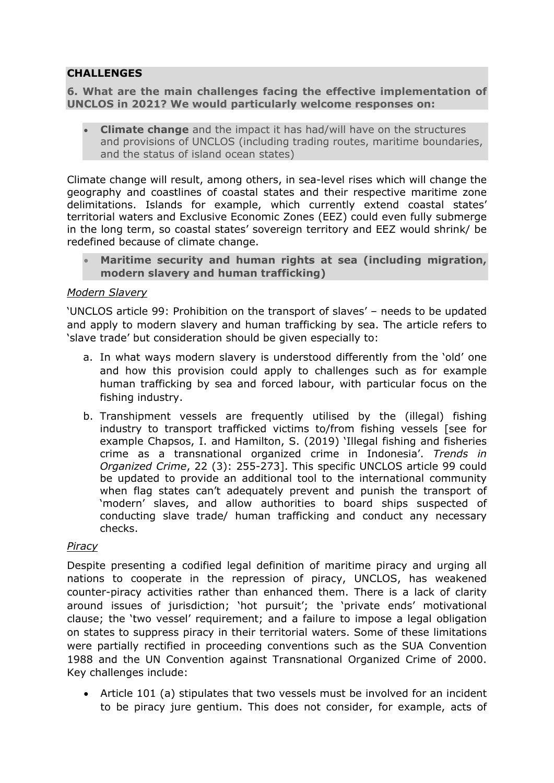## **CHALLENGES**

**6. What are the main challenges facing the effective implementation of UNCLOS in 2021? We would particularly welcome responses on:**

 **Climate change** and the impact it has had/will have on the structures and provisions of UNCLOS (including trading routes, maritime boundaries, and the status of island ocean states)

Climate change will result, among others, in sea-level rises which will change the geography and coastlines of coastal states and their respective maritime zone delimitations. Islands for example, which currently extend coastal states' territorial waters and Exclusive Economic Zones (EEZ) could even fully submerge in the long term, so coastal states' sovereign territory and EEZ would shrink/ be redefined because of climate change.

 **Maritime security and human rights at sea (including migration, modern slavery and human trafficking)**

#### *Modern Slavery*

'UNCLOS article 99: Prohibition on the transport of slaves' – needs to be updated and apply to modern slavery and human trafficking by sea. The article refers to 'slave trade' but consideration should be given especially to:

- a. In what ways modern slavery is understood differently from the 'old' one and how this provision could apply to challenges such as for example human trafficking by sea and forced labour, with particular focus on the fishing industry.
- b. Transhipment vessels are frequently utilised by the (illegal) fishing industry to transport trafficked victims to/from fishing vessels [see for example Chapsos, I. and Hamilton, S. (2019) 'Illegal fishing and fisheries crime as a transnational organized crime in Indonesia'. *Trends in Organized Crime*, 22 (3): 255-273]. This specific UNCLOS article 99 could be updated to provide an additional tool to the international community when flag states can't adequately prevent and punish the transport of 'modern' slaves, and allow authorities to board ships suspected of conducting slave trade/ human trafficking and conduct any necessary checks.

#### *Piracy*

Despite presenting a codified legal definition of maritime piracy and urging all nations to cooperate in the repression of piracy, UNCLOS, has weakened counter-piracy activities rather than enhanced them. There is a lack of clarity around issues of jurisdiction; 'hot pursuit'; the 'private ends' motivational clause; the 'two vessel' requirement; and a failure to impose a legal obligation on states to suppress piracy in their territorial waters. Some of these limitations were partially rectified in proceeding conventions such as the SUA Convention 1988 and the UN Convention against Transnational Organized Crime of 2000. Key challenges include:

 Article 101 (a) stipulates that two vessels must be involved for an incident to be piracy jure gentium. This does not consider, for example, acts of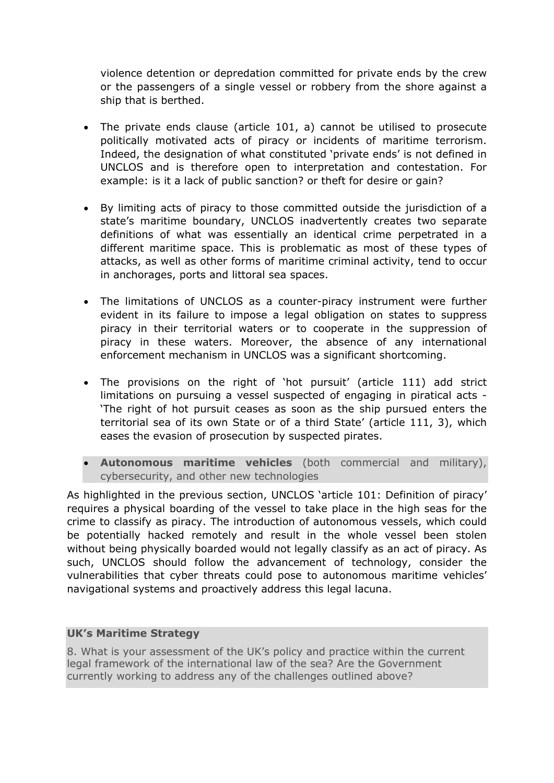violence detention or depredation committed for private ends by the crew or the passengers of a single vessel or robbery from the shore against a ship that is berthed.

- The private ends clause (article 101, a) cannot be utilised to prosecute politically motivated acts of piracy or incidents of maritime terrorism. Indeed, the designation of what constituted 'private ends' is not defined in UNCLOS and is therefore open to interpretation and contestation. For example: is it a lack of public sanction? or theft for desire or gain?
- By limiting acts of piracy to those committed outside the jurisdiction of a state's maritime boundary, UNCLOS inadvertently creates two separate definitions of what was essentially an identical crime perpetrated in a different maritime space. This is problematic as most of these types of attacks, as well as other forms of maritime criminal activity, tend to occur in anchorages, ports and littoral sea spaces.
- The limitations of UNCLOS as a counter-piracy instrument were further evident in its failure to impose a legal obligation on states to suppress piracy in their territorial waters or to cooperate in the suppression of piracy in these waters. Moreover, the absence of any international enforcement mechanism in UNCLOS was a significant shortcoming.
- The provisions on the right of 'hot pursuit' (article 111) add strict limitations on pursuing a vessel suspected of engaging in piratical acts - 'The right of hot pursuit ceases as soon as the ship pursued enters the territorial sea of its own State or of a third State' (article 111, 3), which eases the evasion of prosecution by suspected pirates.
- **Autonomous maritime vehicles** (both commercial and military), cybersecurity, and other new technologies

As highlighted in the previous section, UNCLOS 'article 101: Definition of piracy' requires a physical boarding of the vessel to take place in the high seas for the crime to classify as piracy. The introduction of autonomous vessels, which could be potentially hacked remotely and result in the whole vessel been stolen without being physically boarded would not legally classify as an act of piracy. As such, UNCLOS should follow the advancement of technology, consider the vulnerabilities that cyber threats could pose to autonomous maritime vehicles' navigational systems and proactively address this legal lacuna.

## **UK's Maritime Strategy**

8. What is your assessment of the UK's policy and practice within the current legal framework of the international law of the sea? Are the Government currently working to address any of the challenges outlined above?